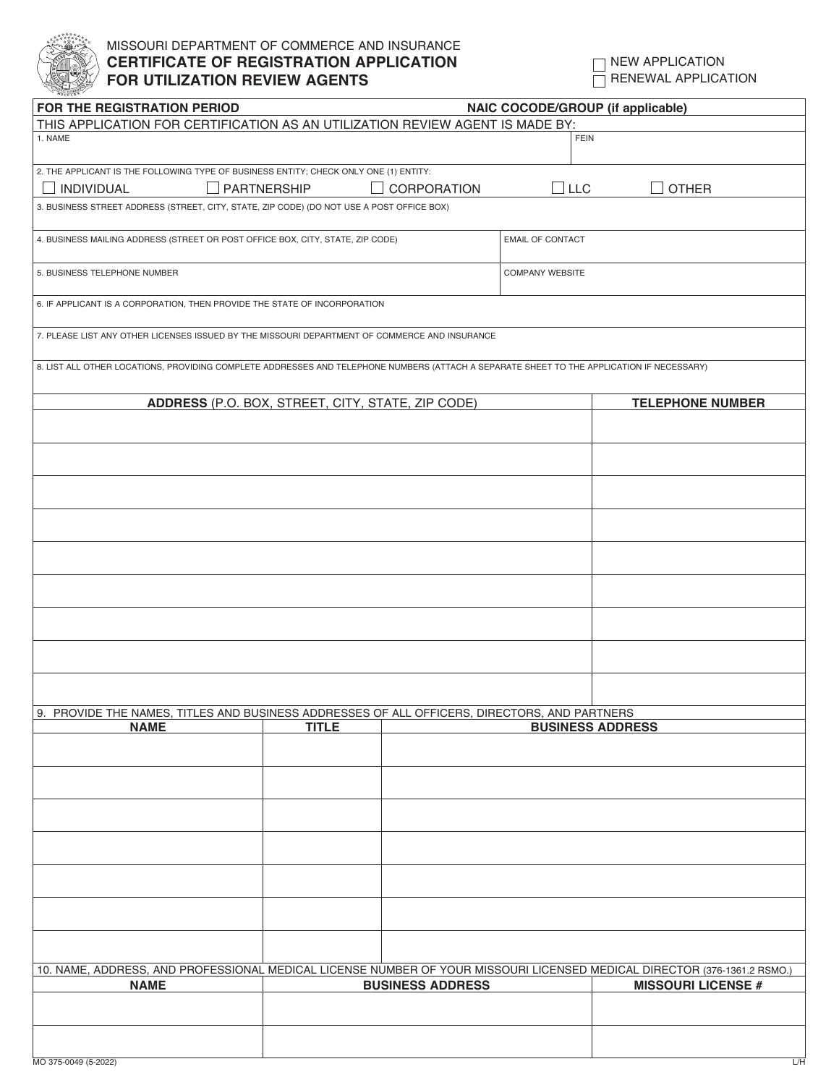

## MISSOURI DEPARTMENT OF COMMERCE AND INSURANCE **CERTIFICATE OF REGISTRATION APPLICATION FOR UTILIZATION REVIEW AGENTS**

 $\Box$  NEW APPLICATION  $\overline{\Box}$  RENEWAL APPLICATION

| FOR THE REGISTRATION PERIOD                                                                                                               |                                         |                         |                           | <b>NAIC COCODE/GROUP (if applicable)</b> |  |  |  |  |
|-------------------------------------------------------------------------------------------------------------------------------------------|-----------------------------------------|-------------------------|---------------------------|------------------------------------------|--|--|--|--|
| THIS APPLICATION FOR CERTIFICATION AS AN UTILIZATION REVIEW AGENT IS MADE BY:                                                             |                                         |                         |                           |                                          |  |  |  |  |
| 1. NAME                                                                                                                                   |                                         |                         | <b>FEIN</b>               |                                          |  |  |  |  |
| 2. THE APPLICANT IS THE FOLLOWING TYPE OF BUSINESS ENTITY; CHECK ONLY ONE (1) ENTITY:                                                     |                                         |                         |                           |                                          |  |  |  |  |
| $\Box$ PARTNERSHIP<br><b>INDIVIDUAL</b>                                                                                                   |                                         | CORPORATION             | $\Box$ LLC                | <b>OTHER</b>                             |  |  |  |  |
|                                                                                                                                           |                                         |                         |                           |                                          |  |  |  |  |
| 3. BUSINESS STREET ADDRESS (STREET, CITY, STATE, ZIP CODE) (DO NOT USE A POST OFFICE BOX)                                                 |                                         |                         |                           |                                          |  |  |  |  |
| 4. BUSINESS MAILING ADDRESS (STREET OR POST OFFICE BOX, CITY, STATE, ZIP CODE)                                                            |                                         |                         | <b>EMAIL OF CONTACT</b>   |                                          |  |  |  |  |
| 5. BUSINESS TELEPHONE NUMBER                                                                                                              |                                         |                         | <b>COMPANY WEBSITE</b>    |                                          |  |  |  |  |
| 6. IF APPLICANT IS A CORPORATION, THEN PROVIDE THE STATE OF INCORPORATION                                                                 |                                         |                         |                           |                                          |  |  |  |  |
| 7. PLEASE LIST ANY OTHER LICENSES ISSUED BY THE MISSOURI DEPARTMENT OF COMMERCE AND INSURANCE                                             |                                         |                         |                           |                                          |  |  |  |  |
| 8. LIST ALL OTHER LOCATIONS, PROVIDING COMPLETE ADDRESSES AND TELEPHONE NUMBERS (ATTACH A SEPARATE SHEET TO THE APPLICATION IF NECESSARY) |                                         |                         |                           |                                          |  |  |  |  |
| ADDRESS (P.O. BOX, STREET, CITY, STATE, ZIP CODE)                                                                                         |                                         |                         |                           | <b>TELEPHONE NUMBER</b>                  |  |  |  |  |
|                                                                                                                                           |                                         |                         |                           |                                          |  |  |  |  |
|                                                                                                                                           |                                         |                         |                           |                                          |  |  |  |  |
|                                                                                                                                           |                                         |                         |                           |                                          |  |  |  |  |
|                                                                                                                                           |                                         |                         |                           |                                          |  |  |  |  |
|                                                                                                                                           |                                         |                         |                           |                                          |  |  |  |  |
|                                                                                                                                           |                                         |                         |                           |                                          |  |  |  |  |
|                                                                                                                                           |                                         |                         |                           |                                          |  |  |  |  |
|                                                                                                                                           |                                         |                         |                           |                                          |  |  |  |  |
|                                                                                                                                           |                                         |                         |                           |                                          |  |  |  |  |
|                                                                                                                                           |                                         |                         |                           |                                          |  |  |  |  |
|                                                                                                                                           |                                         |                         |                           |                                          |  |  |  |  |
|                                                                                                                                           |                                         |                         |                           |                                          |  |  |  |  |
| 9. PROVIDE THE NAMES, TITLES AND BUSINESS ADDRESSES OF ALL OFFICERS, DIRECTORS, AND PARTNERS                                              |                                         |                         |                           |                                          |  |  |  |  |
| <b>NAME</b>                                                                                                                               | <b>TITLE</b><br><b>BUSINESS ADDRESS</b> |                         |                           |                                          |  |  |  |  |
|                                                                                                                                           |                                         |                         |                           |                                          |  |  |  |  |
|                                                                                                                                           |                                         |                         |                           |                                          |  |  |  |  |
|                                                                                                                                           |                                         |                         |                           |                                          |  |  |  |  |
|                                                                                                                                           |                                         |                         |                           |                                          |  |  |  |  |
|                                                                                                                                           |                                         |                         |                           |                                          |  |  |  |  |
|                                                                                                                                           |                                         |                         |                           |                                          |  |  |  |  |
|                                                                                                                                           |                                         |                         |                           |                                          |  |  |  |  |
|                                                                                                                                           |                                         |                         |                           |                                          |  |  |  |  |
| 10. NAME, ADDRESS, AND PROFESSIONAL MEDICAL LICENSE NUMBER OF YOUR MISSOURI LICENSED MEDICAL DIRECTOR (376-1361.2 RSMO.)                  |                                         |                         |                           |                                          |  |  |  |  |
| <b>NAME</b>                                                                                                                               |                                         | <b>BUSINESS ADDRESS</b> | <b>MISSOURI LICENSE #</b> |                                          |  |  |  |  |
|                                                                                                                                           |                                         |                         |                           |                                          |  |  |  |  |
|                                                                                                                                           |                                         |                         |                           |                                          |  |  |  |  |
|                                                                                                                                           |                                         |                         |                           |                                          |  |  |  |  |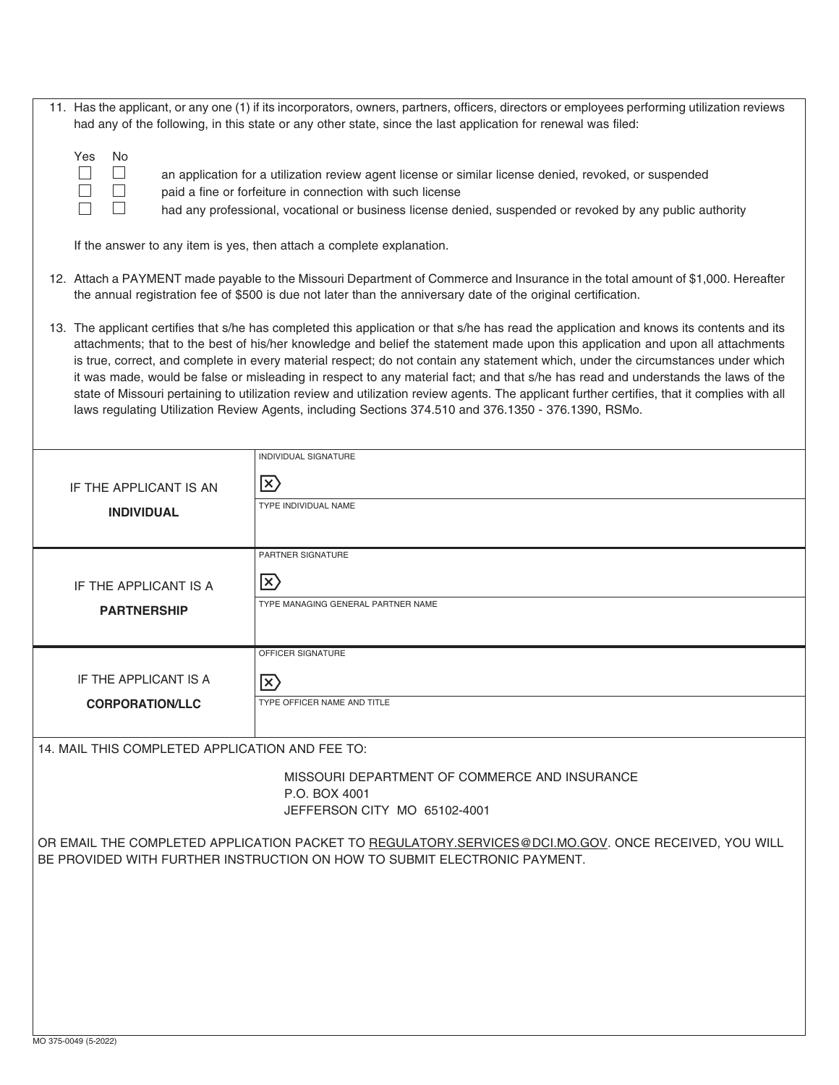|                                                                                                                                                                                                                                                                                                                                                                                                                                                                                                                                                                                                                                                                                                                                                                                                                | 11. Has the applicant, or any one (1) if its incorporators, owners, partners, officers, directors or employees performing utilization reviews<br>had any of the following, in this state or any other state, since the last application for renewal was filed: |  |  |  |  |  |
|----------------------------------------------------------------------------------------------------------------------------------------------------------------------------------------------------------------------------------------------------------------------------------------------------------------------------------------------------------------------------------------------------------------------------------------------------------------------------------------------------------------------------------------------------------------------------------------------------------------------------------------------------------------------------------------------------------------------------------------------------------------------------------------------------------------|----------------------------------------------------------------------------------------------------------------------------------------------------------------------------------------------------------------------------------------------------------------|--|--|--|--|--|
| Yes<br>No<br>$\Box$<br>an application for a utilization review agent license or similar license denied, revoked, or suspended<br>paid a fine or forfeiture in connection with such license<br>had any professional, vocational or business license denied, suspended or revoked by any public authority                                                                                                                                                                                                                                                                                                                                                                                                                                                                                                        |                                                                                                                                                                                                                                                                |  |  |  |  |  |
| If the answer to any item is yes, then attach a complete explanation.                                                                                                                                                                                                                                                                                                                                                                                                                                                                                                                                                                                                                                                                                                                                          |                                                                                                                                                                                                                                                                |  |  |  |  |  |
| 12. Attach a PAYMENT made payable to the Missouri Department of Commerce and Insurance in the total amount of \$1,000. Hereafter<br>the annual registration fee of \$500 is due not later than the anniversary date of the original certification.                                                                                                                                                                                                                                                                                                                                                                                                                                                                                                                                                             |                                                                                                                                                                                                                                                                |  |  |  |  |  |
| 13. The applicant certifies that s/he has completed this application or that s/he has read the application and knows its contents and its<br>attachments; that to the best of his/her knowledge and belief the statement made upon this application and upon all attachments<br>is true, correct, and complete in every material respect; do not contain any statement which, under the circumstances under which<br>it was made, would be false or misleading in respect to any material fact; and that s/he has read and understands the laws of the<br>state of Missouri pertaining to utilization review and utilization review agents. The applicant further certifies, that it complies with all<br>laws regulating Utilization Review Agents, including Sections 374.510 and 376.1350 - 376.1390, RSMo. |                                                                                                                                                                                                                                                                |  |  |  |  |  |
|                                                                                                                                                                                                                                                                                                                                                                                                                                                                                                                                                                                                                                                                                                                                                                                                                | INDIVIDUAL SIGNATURE                                                                                                                                                                                                                                           |  |  |  |  |  |
| IF THE APPLICANT IS AN                                                                                                                                                                                                                                                                                                                                                                                                                                                                                                                                                                                                                                                                                                                                                                                         | $\ket{\mathsf{x}}$<br>TYPE INDIVIDUAL NAME                                                                                                                                                                                                                     |  |  |  |  |  |
| <b>INDIVIDUAL</b>                                                                                                                                                                                                                                                                                                                                                                                                                                                                                                                                                                                                                                                                                                                                                                                              |                                                                                                                                                                                                                                                                |  |  |  |  |  |
|                                                                                                                                                                                                                                                                                                                                                                                                                                                                                                                                                                                                                                                                                                                                                                                                                | PARTNER SIGNATURE                                                                                                                                                                                                                                              |  |  |  |  |  |
| IF THE APPLICANT IS A                                                                                                                                                                                                                                                                                                                                                                                                                                                                                                                                                                                                                                                                                                                                                                                          | $\ket{\mathsf{x}}$                                                                                                                                                                                                                                             |  |  |  |  |  |
| <b>PARTNERSHIP</b>                                                                                                                                                                                                                                                                                                                                                                                                                                                                                                                                                                                                                                                                                                                                                                                             | TYPE MANAGING GENERAL PARTNER NAME                                                                                                                                                                                                                             |  |  |  |  |  |
|                                                                                                                                                                                                                                                                                                                                                                                                                                                                                                                                                                                                                                                                                                                                                                                                                | OFFICER SIGNATURE                                                                                                                                                                                                                                              |  |  |  |  |  |
| IF THE APPLICANT IS A                                                                                                                                                                                                                                                                                                                                                                                                                                                                                                                                                                                                                                                                                                                                                                                          |                                                                                                                                                                                                                                                                |  |  |  |  |  |
|                                                                                                                                                                                                                                                                                                                                                                                                                                                                                                                                                                                                                                                                                                                                                                                                                | $\ket{\times}$                                                                                                                                                                                                                                                 |  |  |  |  |  |
| <b>CORPORATION/LLC</b>                                                                                                                                                                                                                                                                                                                                                                                                                                                                                                                                                                                                                                                                                                                                                                                         | TYPE OFFICER NAME AND TITLE                                                                                                                                                                                                                                    |  |  |  |  |  |
| 14. MAIL THIS COMPLETED APPLICATION AND FEE TO:                                                                                                                                                                                                                                                                                                                                                                                                                                                                                                                                                                                                                                                                                                                                                                |                                                                                                                                                                                                                                                                |  |  |  |  |  |
|                                                                                                                                                                                                                                                                                                                                                                                                                                                                                                                                                                                                                                                                                                                                                                                                                | MISSOURI DEPARTMENT OF COMMERCE AND INSURANCE<br>P.O. BOX 4001<br>JEFFERSON CITY MO 65102-4001                                                                                                                                                                 |  |  |  |  |  |
|                                                                                                                                                                                                                                                                                                                                                                                                                                                                                                                                                                                                                                                                                                                                                                                                                | OR EMAIL THE COMPLETED APPLICATION PACKET TO REGULATORY.SERVICES@DCI.MO.GOV. ONCE RECEIVED, YOU WILL<br>BE PROVIDED WITH FURTHER INSTRUCTION ON HOW TO SUBMIT ELECTRONIC PAYMENT.                                                                              |  |  |  |  |  |
|                                                                                                                                                                                                                                                                                                                                                                                                                                                                                                                                                                                                                                                                                                                                                                                                                |                                                                                                                                                                                                                                                                |  |  |  |  |  |
|                                                                                                                                                                                                                                                                                                                                                                                                                                                                                                                                                                                                                                                                                                                                                                                                                |                                                                                                                                                                                                                                                                |  |  |  |  |  |
|                                                                                                                                                                                                                                                                                                                                                                                                                                                                                                                                                                                                                                                                                                                                                                                                                |                                                                                                                                                                                                                                                                |  |  |  |  |  |